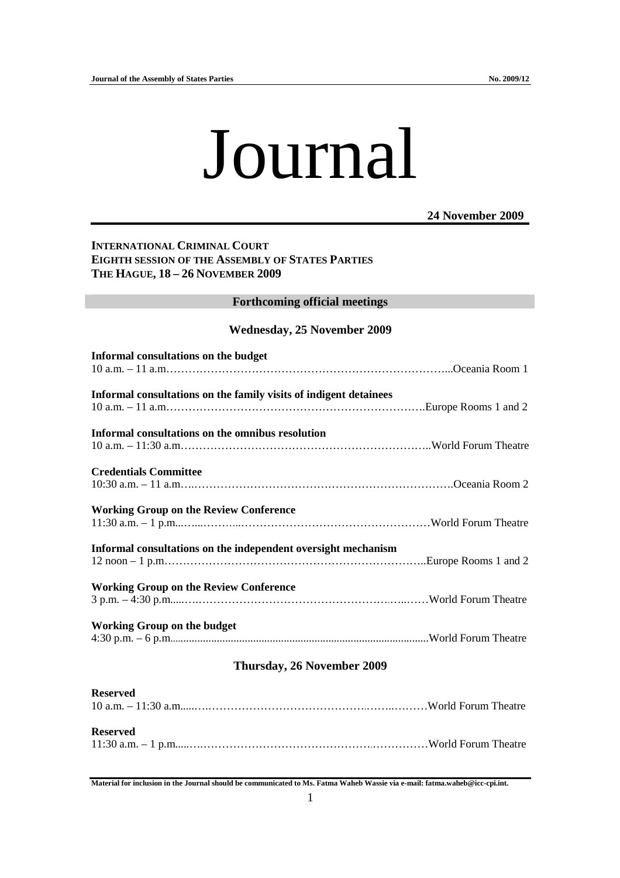**Reserved** 

# Journal

### **24 November 2009**

# **INTERNATIONAL CRIMINAL COURT EIGHTH SESSION OF THE ASSEMBLY OF STATES PARTIES THE HAGUE, 18 – 26 NOVEMBER 2009**

### **Forthcoming official meetings**

### **Wednesday, 25 November 2009**

| Informal consultations on the budget                              |  |  |
|-------------------------------------------------------------------|--|--|
|                                                                   |  |  |
| Informal consultations on the family visits of indigent detainees |  |  |
| Informal consultations on the omnibus resolution                  |  |  |
|                                                                   |  |  |
| <b>Credentials Committee</b>                                      |  |  |
| <b>Working Group on the Review Conference</b>                     |  |  |
|                                                                   |  |  |
| Informal consultations on the independent oversight mechanism     |  |  |
|                                                                   |  |  |
| <b>Working Group on the Review Conference</b>                     |  |  |
| <b>Working Group on the budget</b>                                |  |  |
|                                                                   |  |  |
| Thursday, 26 November 2009                                        |  |  |
| <b>Reserved</b>                                                   |  |  |

11:30 a.m. – 1 p.m.....….……………………………………….……………World Forum Theatre

**Material for inclusion in the Journal should be communicated to Ms. Fatma Waheb Wassie via e-mail: fatma.waheb@icc-cpi.int.**